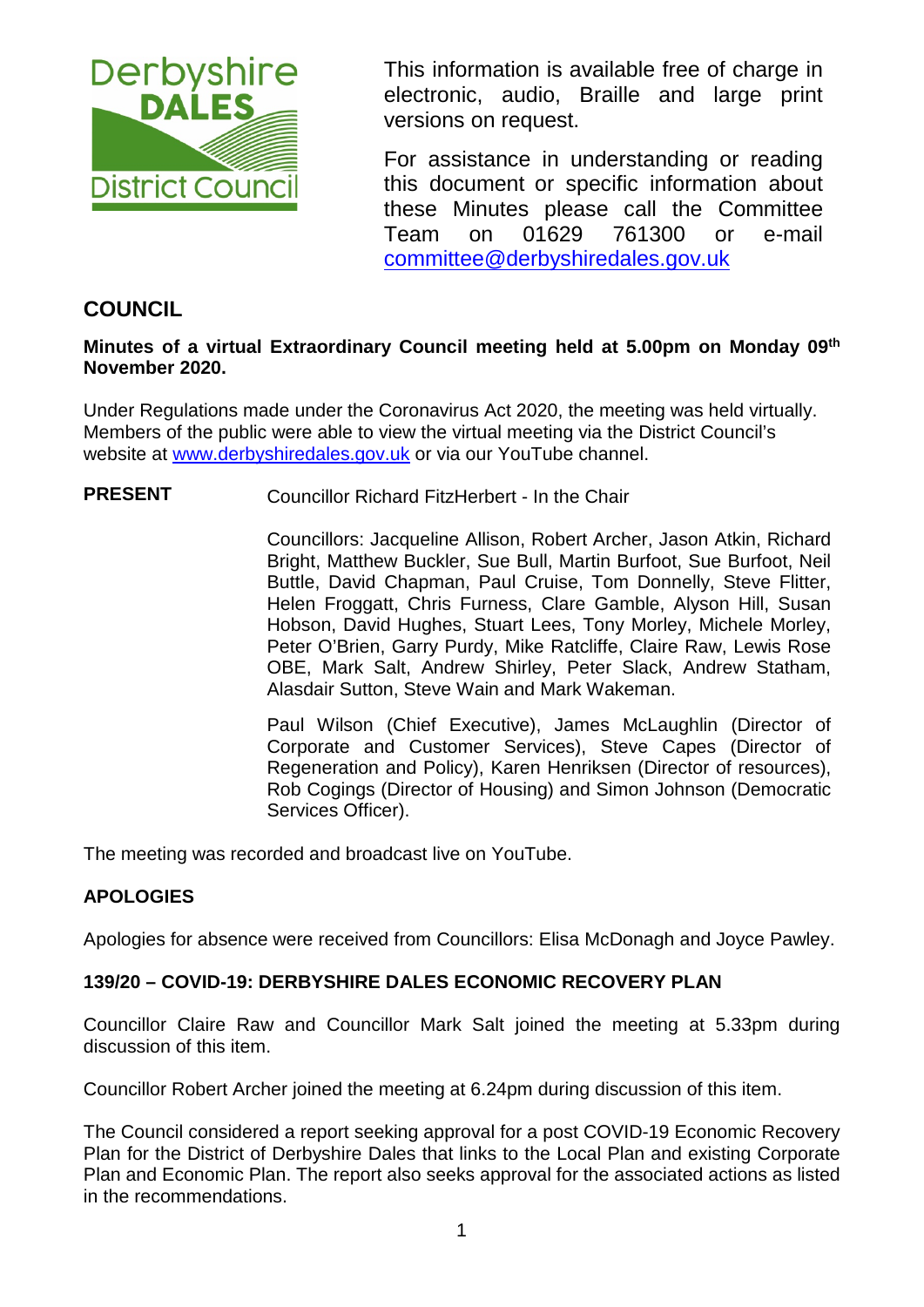

This information is available free of charge in electronic, audio, Braille and large print versions on request.

For assistance in understanding or reading this document or specific information about these Minutes please call the Committee Team on 01629 761300 or e-mail [committee@derbyshiredales.gov.uk](mailto:brian.evans@derbyshiredales.gov.uk) 

# **COUNCIL**

# **Minutes of a virtual Extraordinary Council meeting held at 5.00pm on Monday 09th November 2020.**

Under Regulations made under the Coronavirus Act 2020, the meeting was held virtually. Members of the public were able to view the virtual meeting via the District Council's website at [www.derbyshiredales.gov.uk](http://www.derbyshiredales.gov.uk/) or via our YouTube channel.

# **PRESENT** Councillor Richard FitzHerbert - In the Chair

Councillors: Jacqueline Allison, Robert Archer, Jason Atkin, Richard Bright, Matthew Buckler, Sue Bull, Martin Burfoot, Sue Burfoot, Neil Buttle, David Chapman, Paul Cruise, Tom Donnelly, Steve Flitter, Helen Froggatt, Chris Furness, Clare Gamble, Alyson Hill, Susan Hobson, David Hughes, Stuart Lees, Tony Morley, Michele Morley, Peter O'Brien, Garry Purdy, Mike Ratcliffe, Claire Raw, Lewis Rose OBE, Mark Salt, Andrew Shirley, Peter Slack, Andrew Statham, Alasdair Sutton, Steve Wain and Mark Wakeman.

Paul Wilson (Chief Executive), James McLaughlin (Director of Corporate and Customer Services), Steve Capes (Director of Regeneration and Policy), Karen Henriksen (Director of resources), Rob Cogings (Director of Housing) and Simon Johnson (Democratic Services Officer).

The meeting was recorded and broadcast live on YouTube.

# **APOLOGIES**

Apologies for absence were received from Councillors: Elisa McDonagh and Joyce Pawley.

#### **139/20 – COVID-19: DERBYSHIRE DALES ECONOMIC RECOVERY PLAN**

Councillor Claire Raw and Councillor Mark Salt joined the meeting at 5.33pm during discussion of this item.

Councillor Robert Archer joined the meeting at 6.24pm during discussion of this item.

The Council considered a report seeking approval for a post COVID-19 Economic Recovery Plan for the District of Derbyshire Dales that links to the Local Plan and existing Corporate Plan and Economic Plan. The report also seeks approval for the associated actions as listed in the recommendations.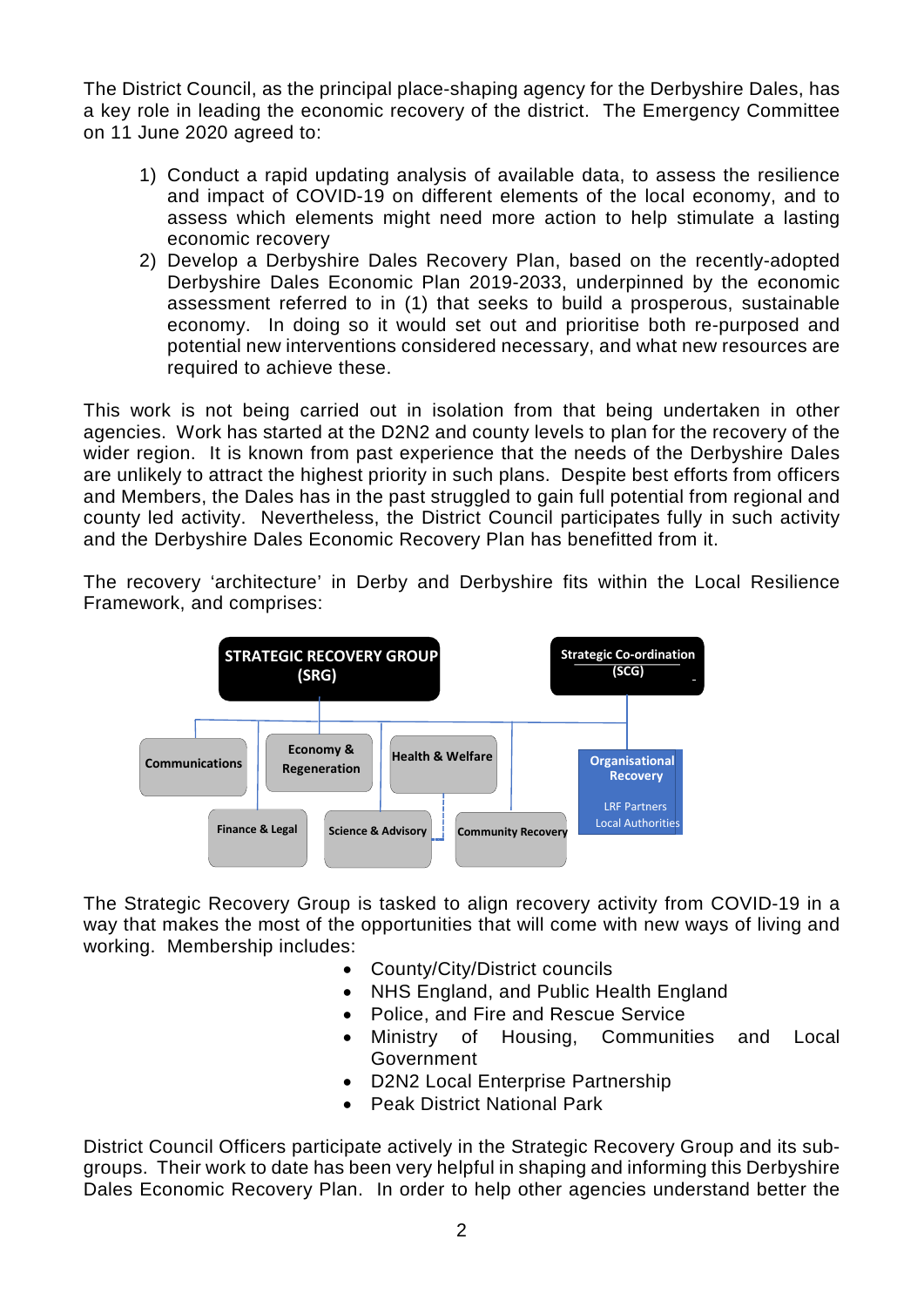The District Council, as the principal place-shaping agency for the Derbyshire Dales, has a key role in leading the economic recovery of the district. The Emergency Committee on 11 June 2020 agreed to:

- 1) Conduct a rapid updating analysis of available data, to assess the resilience and impact of COVID-19 on different elements of the local economy, and to assess which elements might need more action to help stimulate a lasting economic recovery
- 2) Develop a Derbyshire Dales Recovery Plan, based on the recently-adopted Derbyshire Dales Economic Plan 2019-2033, underpinned by the economic assessment referred to in (1) that seeks to build a prosperous, sustainable economy. In doing so it would set out and prioritise both re-purposed and potential new interventions considered necessary, and what new resources are required to achieve these.

This work is not being carried out in isolation from that being undertaken in other agencies. Work has started at the D2N2 and county levels to plan for the recovery of the wider region. It is known from past experience that the needs of the Derbyshire Dales are unlikely to attract the highest priority in such plans. Despite best efforts from officers and Members, the Dales has in the past struggled to gain full potential from regional and county led activity. Nevertheless, the District Council participates fully in such activity and the Derbyshire Dales Economic Recovery Plan has benefitted from it.

The recovery 'architecture' in Derby and Derbyshire fits within the Local Resilience Framework, and comprises:



The Strategic Recovery Group is tasked to align recovery activity from COVID-19 in a way that makes the most of the opportunities that will come with new ways of living and working. Membership includes:

- County/City/District councils
- NHS England, and Public Health England
- Police, and Fire and Rescue Service
- Ministry of Housing, Communities and Local Government
- D2N2 Local Enterprise Partnership
- Peak District National Park

District Council Officers participate actively in the Strategic Recovery Group and its subgroups. Their work to date has been very helpful in shaping and informing this Derbyshire Dales Economic Recovery Plan. In order to help other agencies understand better the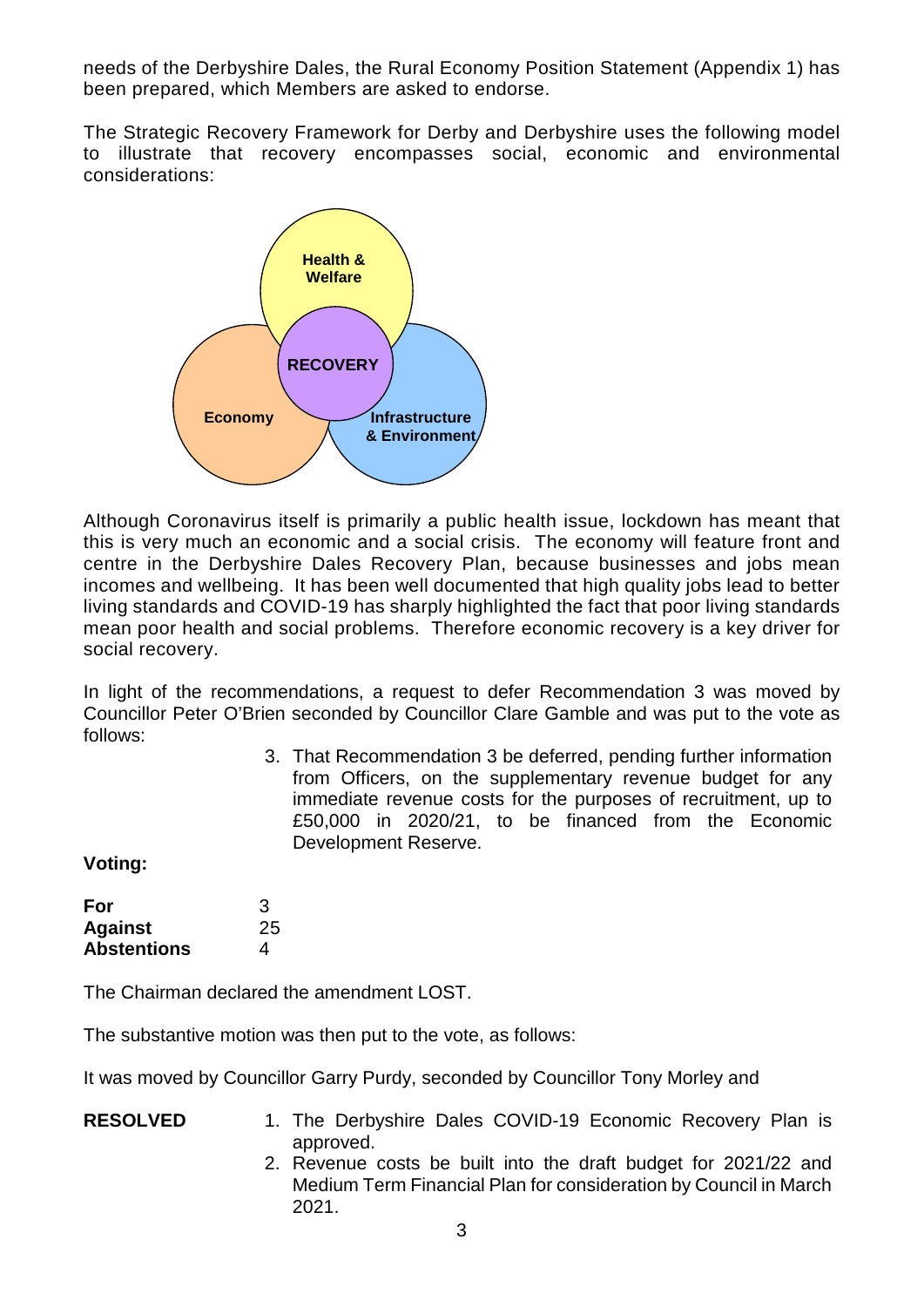needs of the Derbyshire Dales, the Rural Economy Position Statement (Appendix 1) has been prepared, which Members are asked to endorse.

The Strategic Recovery Framework for Derby and Derbyshire uses the following model to illustrate that recovery encompasses social, economic and environmental considerations:



Although Coronavirus itself is primarily a public health issue, lockdown has meant that this is very much an economic and a social crisis. The economy will feature front and centre in the Derbyshire Dales Recovery Plan, because businesses and jobs mean incomes and wellbeing. It has been well documented that high quality jobs lead to better living standards and COVID-19 has sharply highlighted the fact that poor living standards mean poor health and social problems. Therefore economic recovery is a key driver for social recovery.

In light of the recommendations, a request to defer Recommendation 3 was moved by Councillor Peter O'Brien seconded by Councillor Clare Gamble and was put to the vote as follows:

> 3. That Recommendation 3 be deferred, pending further information from Officers, on the supplementary revenue budget for any immediate revenue costs for the purposes of recruitment, up to £50,000 in 2020/21, to be financed from the Economic Development Reserve.

**Voting:**

| For                | З  |
|--------------------|----|
| <b>Against</b>     | 25 |
| <b>Abstentions</b> | 4  |

The Chairman declared the amendment LOST.

The substantive motion was then put to the vote, as follows:

It was moved by Councillor Garry Purdy, seconded by Councillor Tony Morley and

| <b>RESOLVED</b> |  | 1. The Derbyshire Dales COVID-19 Economic Recovery Plan is |  |  |  |
|-----------------|--|------------------------------------------------------------|--|--|--|
|                 |  | approved.                                                  |  |  |  |

2. Revenue costs be built into the draft budget for 2021/22 and Medium Term Financial Plan for consideration by Council in March 2021.